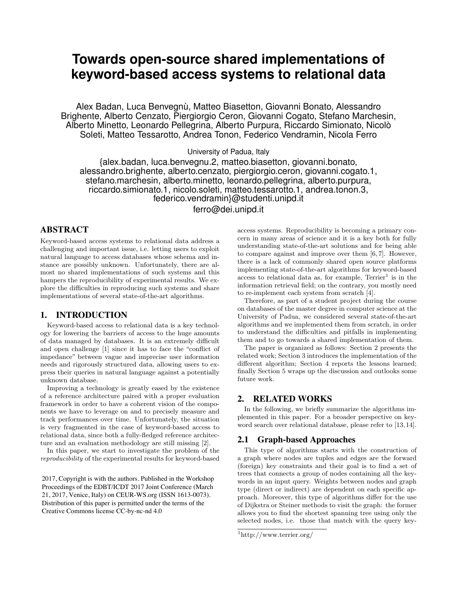# **Towards open-source shared implementations of keyword-based access systems to relational data**

Alex Badan, Luca Benvegnù, Matteo Biasetton, Giovanni Bonato, Alessandro Brighente, Alberto Cenzato, Piergiorgio Ceron, Giovanni Cogato, Stefano Marchesin, Alberto Minetto, Leonardo Pellegrina, Alberto Purpura, Riccardo Simionato, Nicolò Soleti, Matteo Tessarotto, Andrea Tonon, Federico Vendramin, Nicola Ferro

University of Padua, Italy

{alex.badan, luca.benvegnu.2, matteo.biasetton, giovanni.bonato, alessandro.brighente, alberto.cenzato, piergiorgio.ceron, giovanni.cogato.1, stefano.marchesin, alberto.minetto, leonardo.pellegrina, alberto.purpura, riccardo.simionato.1, nicolo.soleti, matteo.tessarotto.1, andrea.tonon.3, federico.vendramin}@studenti.unipd.it

ferro@dei.unipd.it

## ABSTRACT

Keyword-based access systems to relational data address a challenging and important issue, i.e. letting users to exploit natural language to access databases whose schema and instance are possibly unknown. Unfortunately, there are almost no shared implementations of such systems and this hampers the reproducibility of experimental results. We explore the difficulties in reproducing such systems and share implementations of several state-of-the-art algorithms.

## 1. INTRODUCTION

Keyword-based access to relational data is a key technology for lowering the barriers of access to the huge amounts of data managed by databases. It is an extremely difficult and open challenge [1] since it has to face the "conflict of impedance" between vague and imprecise user information needs and rigorously structured data, allowing users to express their queries in natural language against a potentially unknown database.

Improving a technology is greatly eased by the existence of a reference architecture paired with a proper evaluation framework in order to have a coherent vision of the components we have to leverage on and to precisely measure and track performances over time. Unfortunately, the situation is very fragmented in the case of keyword-based access to relational data, since both a fully-fledged reference architecture and an evaluation methodology are still missing [2].

In this paper, we start to investigate the problem of the reproducibility of the experimental results for keyword-based

2017, Copyright is with the authors. Published in the Workshop Proceedings of the EDBT/ICDT 2017 Joint Conference (March 21, 2017, Venice, Italy) on CEUR-WS.org (ISSN 1613-0073). Distribution of this paper is permitted under the terms of the Creative Commons license CC-by-nc-nd 4.0

access systems. Reproducibility is becoming a primary concern in many areas of science and it is a key both for fully understanding state-of-the-art solutions and for being able to compare against and improve over them [6, 7]. However, there is a lack of commonly shared open source platforms implementing state-of-the-art algorithms for keyword-based access to relational data as, for example,  $T$ errier<sup>1</sup> is in the information retrieval field; on the contrary, you mostly need to re-implement each system from scratch [4].

Therefore, as part of a student project during the course on databases of the master degree in computer science at the University of Padua, we considered several state-of-the-art algorithms and we implemented them from scratch, in order to understand the difficulties and pitfalls in implementing them and to go towards a shared implementation of them.

The paper is organized as follows: Section 2 presents the related work; Section 3 introduces the implementation of the different algorithm; Section 4 reports the lessons learned; finally Section 5 wraps up the discussion and outlooks some future work.

### 2. RELATED WORKS

In the following, we briefly summarize the algorithms implemented in this paper. For a broader perspective on keyword search over relational database, please refer to [13,14].

#### 2.1 Graph-based Approaches

This type of algorithms starts with the construction of a graph where nodes are tuples and edges are the forward (foreign) key constraints and their goal is to find a set of trees that connects a group of nodes containing all the keywords in an input query. Weights between nodes and graph type (direct or indirect) are dependent on each specific approach. Moreover, this type of algorithms differ for the use of Dijkstra or Steiner methods to visit the graph: the former allows you to find the shortest spanning tree using only the selected nodes, i.e. those that match with the query key-

<sup>1</sup>http://www.terrier.org/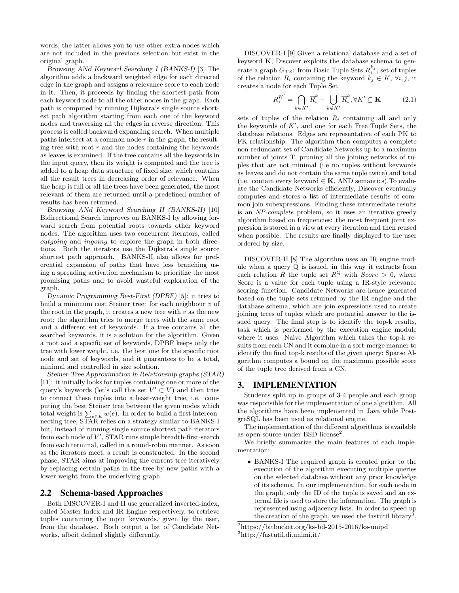words; the latter allows you to use other extra nodes which are not included in the previous selection but exist in the original graph.

Browsing ANd Keyword Searching I (BANKS-I) [3] The algorithm adds a backward weighted edge for each directed edge in the graph and assigns a relevance score to each node in it. Then, it proceeds by finding the shortest path from each keyword node to all the other nodes in the graph. Each path is computed by running Dijkstra's single source shortest path algorithm starting from each one of the keyword nodes and traversing all the edges in reverse direction. This process is called backward expanding search. When multiple paths intersect at a common node  $r$  in the graph, the resulting tree with root  $r$  and the nodes containing the keywords as leaves is examined. If the tree contains all the keywords in the input query, then its weight is computed and the tree is added to a heap data structure of fixed size, which contains all the result trees in decreasing order of relevance. When the heap is full or all the trees have been generated, the most relevant of them are returned until a predefined number of results has been returned.

Browsing ANd Keyword Searching II (BANKS-II) [10] Bidirectional Search improves on BANKS-I by allowing forward search from potential roots towards other keyword nodes. The algorithm uses two concurrent iterators, called outgoing and ingoing to explore the graph in both directions. Both the iterators use the Dijkstra's single source shortest path approach. BANKS-II also allows for preferential expansion of paths that have less branching using a spreading activation mechanism to prioritize the most promising paths and to avoid wasteful exploration of the graph.

Dynamic Programming Best-First (DPBF) [5]: it tries to build a minimum cost Steiner tree: for each neighbour  $v$  of the root in the graph, it creates a new tree with  $v$  as the new root; the algorithm tries to merge trees with the same root and a different set of keywords. If a tree contains all the searched keywords, it is a solution for the algorithm. Given a root and a specific set of keywords, DPBF keeps only the tree with lower weight, i.e. the best one for the specific root node and set of keywords, and it guarantees to be a total, minimal and controlled in size solution.

Steiner-Tree Approximation in Relationship graphs (STAR) [11]: it initially looks for tuples containing one or more of the query's keywords (let's call this set  $V' \subset V$ ) and then tries to connect these tuples into a least-weight tree, i.e. computing the best Steiner tree between the given nodes which total weight is  $\sum_{e \in E} w(e)$ . In order to build a first interconnecting tree, STAR relies on a strategy similar to BANKS-I but, instead of running single source shortest path iterators from each node of  $V'$ , STAR runs simple breadth-first-search from each terminal, called in a round-robin manner. As soon as the iterators meet, a result is constructed. In the second phase, STAR aims at improving the current tree iteratively by replacing certain paths in the tree by new paths with a lower weight from the underlying graph.

#### 2.2 Schema-based Approaches

Both DISCOVER-I and II use generalized inverted-index, called Master Index and IR Engine respectively, to retrieve tuples containing the input keywords, given by the user, from the database. Both output a list of Candidate Networks, albeit defined slightly differently.

DISCOVER-I [9] Given a relational database and a set of keyword K, Discover exploits the database schema to generate a graph  $G_{TS}$ : from Basic Tuple Sets  $\overline{R}_{i}^{k_j}$ , set of tuples of the relation  $R_i$  containing the keyword  $k_j \in K$ ,  $\forall i, \hat{j}$ , it creates a node for each Tuple Set

$$
R_i^{K'} = \bigcap_{k \in K'} \overline{R}_i^k - \bigcup_{k \notin K'} \overline{R}_i^k, \forall K' \subseteq \mathbf{K} \tag{2.1}
$$

sets of tuples of the relation  $R_i$  containing all and only the keywords of  $K'$ , and one for each Free Tuple Sets, the database relations. Edges are representative of each PK to FK relationship. The algorithm then computes a complete non-redundant set of Candidate Networks up to a maximum number of joints T, pruning all the joining networks of tuples that are not minimal (i.e no tuples without keywords as leaves and do not contain the same tuple twice) and total (i.e. contain every keyword  $\in$  **K**, AND semantics). To evaluate the Candidate Networks efficiently, Discover eventually computes and stores a list of intermediate results of common join subexpressions. Finding these intermediate results is an NP-complete problem, so it uses an iterative greedy algorithm based on frequencies: the most frequent joint expression is stored in a view at every iteration and then reused when possible. The results are finally displayed to the user ordered by size.

DISCOVER-II [8] The algorithm uses an IR engine module when a query Q is issued, in this way it extracts from each relation R the tuple set  $R^Q$  with  $Score > 0$ , where Score is a value for each tuple using a IR-style relevance scoring function. Candidate Networks are hence generated based on the tuple sets returned by the IR engine and the database schema, which are join expressions used to create joining trees of tuples which are potantial answer to the issued query. The final step is to identify the top-k results, task which is performed by the execution engine module where it uses: Naive Algorithm which takes the top-k results from each CN and it combine in a sort-merge manner to identify the final top-k results of the given query; Sparse Algorithm computes a bound on the maximum possible score of the tuple tree derived from a CN.

#### 3. IMPLEMENTATION

Students split up in groups of 3-4 people and each group was responsible for the implementation of one algorithm. All the algorithms have been implemented in Java while PostgreSQL has been used as relational engine.

The implementation of the different algorithms is available as open source under BSD license<sup>2</sup>.

We briefly summarize the main features of each implementation:

• BANKS-I The required graph is created prior to the execution of the algorithm executing multiple queries on the selected database without any prior knowledge of its schema. In our implementation, for each node in the graph, only the ID of the tuple is saved and an external file is used to store the information. The graph is represented using adjacency lists. In order to speed up the creation of the graph, we used the fastutil library<sup>3</sup>,

<sup>2</sup>https://bitbucket.org/ks-bd-2015-2016/ks-unipd <sup>3</sup>http://fastutil.di.unimi.it/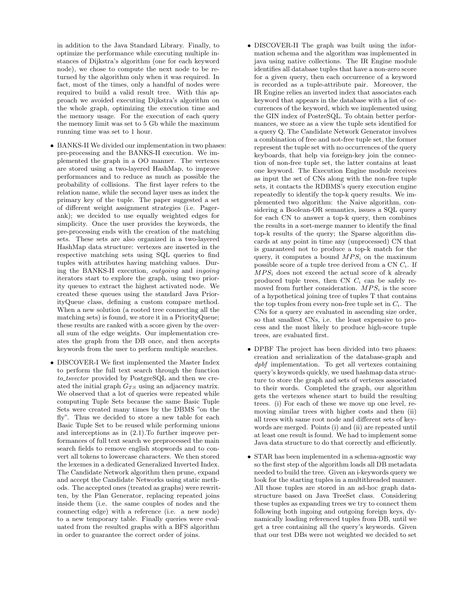in addition to the Java Standard Library. Finally, to optimize the performance while executing multiple instances of Dijkstra's algorithm (one for each keyword node), we chose to compute the next node to be returned by the algorithm only when it was required. In fact, most of the times, only a handful of nodes were required to build a valid result tree. With this approach we avoided executing Dijkstra's algorithm on the whole graph, optimizing the execution time and the memory usage. For the execution of each query the memory limit was set to 5 Gb while the maximum running time was set to 1 hour.

- BANKS-II We divided our implementation in two phases: pre-processing and the BANKS-II execution. We implemented the graph in a OO manner. The vertexes are stored using a two-layered HashMap, to improve performances and to reduce as much as possible the probability of collisions. The first layer refers to the relation name, while the second layer uses as index the primary key of the tuple. The paper suggested a set of different weight assignment strategies (i.e. Pagerank); we decided to use equally weighted edges for simplicity. Once the user provides the keywords, the pre-processing ends with the creation of the matching sets. These sets are also organized in a two-layered HashMap data structure: vertexes are inserted in the respective matching sets using SQL queries to find tuples with attributes having matching values. During the BANKS-II execution, outgoing and ingoing iterators start to explore the graph, using two priority queues to extract the highest activated node. We created these queues using the standard Java PriorityQueue class, defining a custom compare method. When a new solution (a rooted tree connecting all the matching sets) is found, we store it in a PriorityQueue; these results are ranked with a score given by the overall sum of the edge weights. Our implementation creates the graph from the DB once, and then accepts keywords from the user to perform multiple searches.
- DISCOVER-I We first implemented the Master Index to perform the full text search through the function to\_tsvector provided by PostgreSQL and then we created the initial graph  $G_{TS}$  using an adjacency matrix. We observed that a lot of queries were repeated while computing Tuple Sets because the same Basic Tuple Sets were created many times by the DBMS "on the fly". Thus we decided to store a new table for each Basic Tuple Set to be reused while performing unions and interceptions as in (2.1).To further improve performances of full text search we preprocessed the main search fields to remove english stopwords and to convert all tokens to lowercase characters. We then stored the lexemes in a dedicated Generalized Inverted Index. The Candidate Network algorithm then prune, expand and accept the Candidate Networks using static methods. The accepted ones (treated as graphs) were rewritten, by the Plan Generator, replacing repeated joins inside them (i.e. the same couples of nodes and the connecting edge) with a reference (i.e. a new node) to a new temporary table. Finally queries were evaluated from the resulted graphs with a BFS algorithm in order to guarantee the correct order of joins.
- DISCOVER-II The graph was built using the information schema and the algorithm was implemented in java using native collections. The IR Engine module identifies all database tuples that have a non-zero score for a given query, then each occurrence of a keyword is recorded as a tuple-attribute pair. Moreover, the IR Engine relies an inverted index that associates each keyword that appears in the database with a list of occurrences of the keyword, which we implemented using the GIN index of PostreSQL. To obtain better performances, we store as a view the tuple sets identified for a query Q. The Candidate Network Generator involves a combination of free and not-free tuple set, the former represent the tuple set with no occurrences of the query keyboards, that help via foreign-key join the connection of non-free tuple set, the latter contains at least one keyword. The Execution Engine module receives as input the set of CNs along with the non-free tuple sets, it contacts the RDBMS's query execution engine repeatedly to identify the top-k query results. We implemented two algorithm: the Naive algorithm, considering a Boolean-OR semantics, issues a SQL query for each CN to answer a top-k query, then combines the results in a sort-merge manner to identify the final top-k results of the query; the Sparse algorithm discards at any point in time any (unprocessed) CN that is guaranteed not to produce a top-k match for the query, it computes a bound  $MPS_i$  on the maximum possible score of a tuple tree derived from a CN  $C_i$ . If  $MPS<sub>i</sub>$  does not exceed the actual score of k already produced tuple trees, then CN  $C_i$  can be safely removed from further consideration.  $MPS_i$  is the score of a hypothetical joining tree of tuples T that contains the top tuples from every non-free tuple set in  $C_i$ . The CNs for a query are evaluated in ascending size order, so that smallest CNs, i.e. the least expensive to process and the most likely to produce high-score tuple trees, are evaluated first.
- DPBF The project has been divided into two phases: creation and serialization of the database-graph and dpbf implementation. To get all vertexes containing query's keywords quickly, we used hashmap data structure to store the graph and sets of vertexes associated to their words. Completed the graph, our algorithm gets the vertexes whence start to build the resulting trees. (i) For each of these we move up one level, removing similar trees with higher costs and then (ii) all trees with same root node and different sets of keywords are merged. Points (i) and (ii) are repeated until at least one result is found. We had to implement some Java data structure to do that correctly and efficiently.
- STAR has been implemented in a schema-agnostic way so the first step of the algorithm loads all DB metadata needed to build the tree. Given an i-keywords query we look for the starting tuples in a multithreaded manner. All those tuples are stored in an ad-hoc graph datastructure based on Java TreeSet class. Considering these tuples as expanding trees we try to connect them following both ingoing and outgoing foreign keys, dynamically loading referenced tuples from DB, until we get a tree containing all the query's keywords. Given that our test DBs were not weighted we decided to set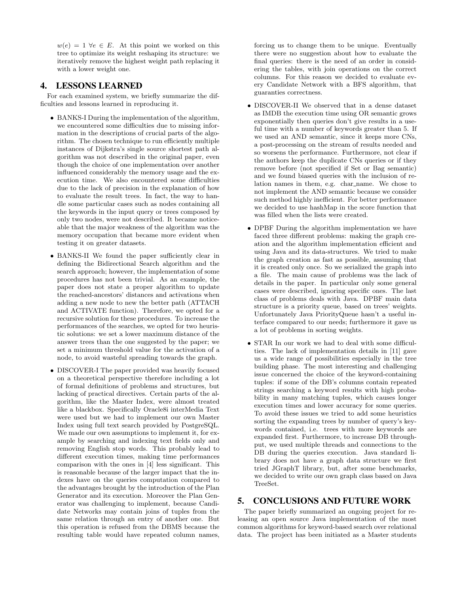$w(e) = 1 \ \forall e \in E$ . At this point we worked on this tree to optimize its weight reshaping its structure: we iteratively remove the highest weight path replacing it with a lower weight one.

# 4. LESSONS LEARNED

For each examined system, we briefly summarize the difficulties and lessons learned in reproducing it.

- BANKS-I During the implementation of the algorithm, we encountered some difficulties due to missing information in the descriptions of crucial parts of the algorithm. The chosen technique to run efficiently multiple instances of Dijkstra's single source shortest path algorithm was not described in the original paper, even though the choice of one implementation over another influenced considerably the memory usage and the execution time. We also encountered some difficulties due to the lack of precision in the explanation of how to evaluate the result trees. In fact, the way to handle some particular cases such as nodes containing all the keywords in the input query or trees composed by only two nodes, were not described. It became noticeable that the major weakness of the algorithm was the memory occupation that became more evident when testing it on greater datasets.
- BANKS-II We found the paper sufficiently clear in defining the Bidirectional Search algorithm and the search approach; however, the implementation of some procedures has not been trivial. As an example, the paper does not state a proper algorithm to update the reached-ancestors' distances and activations when adding a new node to new the better path (ATTACH and ACTIVATE function). Therefore, we opted for a recursive solution for these procedures. To increase the performances of the searches, we opted for two heuristic solutions: we set a lower maximum distance of the answer trees than the one suggested by the paper; we set a minimum threshold value for the activation of a node, to avoid wasteful spreading towards the graph.
- DISCOVER-I The paper provided was heavily focused on a theoretical perspective therefore including a lot of formal definitions of problems and structures, but lacking of practical directives. Certain parts of the algorithm, like the Master Index, were almost treated like a blackbox. Specifically Oracle8i interMedia Text were used but we had to implement our own Master Index using full text search provided by PostgreSQL. We made our own assumptions to implement it, for example by searching and indexing text fields only and removing English stop words. This probably lead to different execution times, making time performances comparison with the ones in [4] less significant. This is reasonable because of the larger impact that the indexes have on the queries computation compared to the advantages brought by the introduction of the Plan Generator and its execution. Moreover the Plan Generator was challenging to implement, because Candidate Networks may contain joins of tuples from the same relation through an entry of another one. But this operation is refused from the DBMS because the resulting table would have repeated column names,

forcing us to change them to be unique. Eventually there were no suggestion about how to evaluate the final queries: there is the need of an order in considering the tables, with join operations on the correct columns. For this reason we decided to evaluate every Candidate Network with a BFS algorithm, that guaranties correctness.

- DISCOVER-II We observed that in a dense dataset as IMDB the execution time using OR semantic grows exponentially then queries don't give results in a useful time with a number of keywords greater than 5. If we used an AND semantic, since it keeps more CNs, a post-processing on the stream of results needed and so worsens the performance. Furthermore, not clear if the authors keep the duplicate CNs queries or if they remove before (not specified if Set or Bag semantic) and we found biased queries with the inclusion of relation names in them, e.g. char\_name. We chose to not implement the AND semantic because we consider such method highly inefficient. For better performance we decided to use hashMap in the score function that was filled when the lists were created.
- DPBF During the algorithm implementation we have faced three different problems: making the graph creation and the algorithm implementation efficient and using Java and its data-structures. We tried to make the graph creation as fast as possible, assuming that it is created only once. So we serialized the graph into a file. The main cause of problems was the lack of details in the paper. In particular only some general cases were described, ignoring specific ones. The last class of problems deals with Java. DPBF main data structure is a priority queue, based on trees' weights. Unfortunately Java PriorityQueue hasn't a useful interface compared to our needs; furthermore it gave us a lot of problems in sorting weights.
- STAR In our work we had to deal with some difficulties. The lack of implementation details in [11] gave us a wide range of possibilities especially in the tree building phase. The most interesting and challenging issue concerned the choice of the keyword-containing tuples: if some of the DB's columns contain repeated strings searching a keyword results with high probability in many matching tuples, which causes longer execution times and lower accuracy for some queries. To avoid these issues we tried to add some heuristics sorting the expanding trees by number of query's keywords contained, i.e. trees with more keywords are expanded first. Furthermore, to increase DB throughput, we used multiple threads and connections to the DB during the queries execution. Java standard library does not have a graph data structure we first tried JGraphT library, but, after some benchmarks, we decided to write our own graph class based on Java TreeSet.

# 5. CONCLUSIONS AND FUTURE WORK

The paper briefly summarized an ongoing project for releasing an open source Java implementation of the most common algorithms for keyword-based search over relational data. The project has been initiated as a Master students